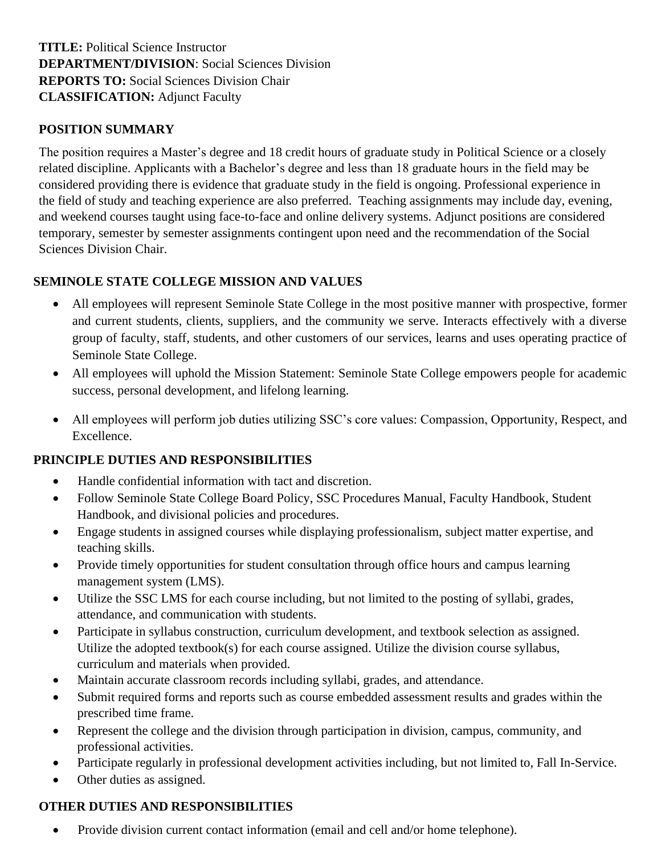# **TITLE:** Political Science Instructor **DEPARTMENT/DIVISION**: Social Sciences Division **REPORTS TO:** Social Sciences Division Chair **CLASSIFICATION:** Adjunct Faculty

#### **POSITION SUMMARY**

The position requires a Master's degree and 18 credit hours of graduate study in Political Science or a closely related discipline. Applicants with a Bachelor's degree and less than 18 graduate hours in the field may be considered providing there is evidence that graduate study in the field is ongoing. Professional experience in the field of study and teaching experience are also preferred. Teaching assignments may include day, evening, and weekend courses taught using face-to-face and online delivery systems. Adjunct positions are considered temporary, semester by semester assignments contingent upon need and the recommendation of the Social Sciences Division Chair.

### **SEMINOLE STATE COLLEGE MISSION AND VALUES**

- All employees will represent Seminole State College in the most positive manner with prospective, former and current students, clients, suppliers, and the community we serve. Interacts effectively with a diverse group of faculty, staff, students, and other customers of our services, learns and uses operating practice of Seminole State College.
- All employees will uphold the Mission Statement: Seminole State College empowers people for academic success, personal development, and lifelong learning.
- All employees will perform job duties utilizing SSC's core values: Compassion, Opportunity, Respect, and Excellence.

### **PRINCIPLE DUTIES AND RESPONSIBILITIES**

- Handle confidential information with tact and discretion.
- Follow Seminole State College Board Policy, SSC Procedures Manual, Faculty Handbook, Student Handbook, and divisional policies and procedures.
- Engage students in assigned courses while displaying professionalism, subject matter expertise, and teaching skills.
- Provide timely opportunities for student consultation through office hours and campus learning management system (LMS).
- Utilize the SSC LMS for each course including, but not limited to the posting of syllabi, grades, attendance, and communication with students.
- Participate in syllabus construction, curriculum development, and textbook selection as assigned. Utilize the adopted textbook(s) for each course assigned. Utilize the division course syllabus, curriculum and materials when provided.
- Maintain accurate classroom records including syllabi, grades, and attendance.
- Submit required forms and reports such as course embedded assessment results and grades within the prescribed time frame.
- Represent the college and the division through participation in division, campus, community, and professional activities.
- Participate regularly in professional development activities including, but not limited to, Fall In-Service.
- Other duties as assigned.

### **OTHER DUTIES AND RESPONSIBILITIES**

• Provide division current contact information (email and cell and/or home telephone).